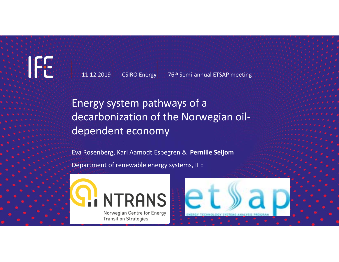IFS

11.12.2019

CSIRO Energy 76<sup>th</sup> Semi-annual ETSAP meeting

Energy system pathways of a decarbonization of the Norwegian oil‐ dependent economy

Eva Rosenberg, Kari Aamodt Espegren & **Pernille Seljom** Department of renewable energy systems, IFE



**NTRANS** Norwegian Centre for Energy **Transition Strategies**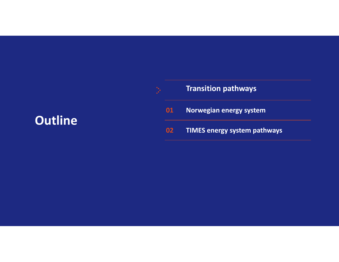#### **Transition pathways 01 Norwegian energy system 02 TIMES energy system pathways Outline**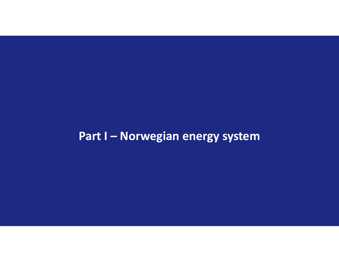# **Part I – Norwegian energy system**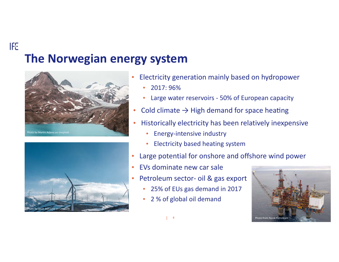# **The Norwegian energy system**



**IFE** 



- • Electricity generation mainly based on hydropower
	- •2017: 96%
	- $\bullet$ Large water reservoirs ‐ 50% of European capacity
	- Cold climate  $\rightarrow$  High demand for space heating
- • Historically electricity has been relatively inexpensive
	- •Energy‐intensive industry
	- $\bullet$ Electricity based heating system
- •Large potential for onshore and offshore wind power
- • EVs dominate new car sale
	- Petroleum sector‐ oil & gas export
		- •25% of EUs gas demand in 2017
		- $\bullet$ 2 % of global oil demand



4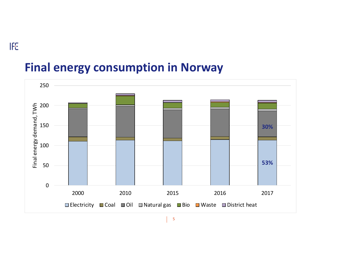# **Final energy consumption in Norway**

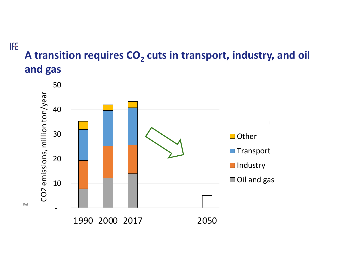# **A transition requires CO 2 cuts in transport, industry, and oil and gas**



Ref

**IFE**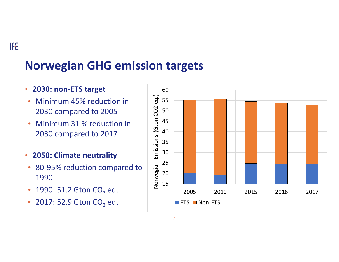# **Norwegian GHG emission targets**

#### •**2030: non‐ETS target**

- $\bullet$  Minimum 45% reduction in 2030 compared to 2005
- • Minimum 31 % reduction in 2030 compared to 2017
- $\bullet$ **2050: Climate neutrality**
- $\bullet$  80‐95% reduction compared to 1990
- $\bullet$ • 1990: 51.2 Gton CO $_2$  eq.
- • $\bullet~$  2017: 52.9 Gton CO $_2$  eq.

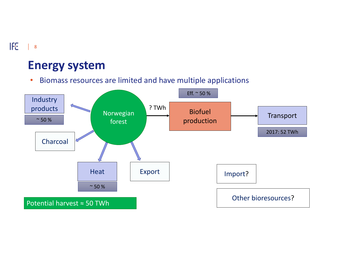# **Energy system**

•Biomass resources are limited and have multiple applications

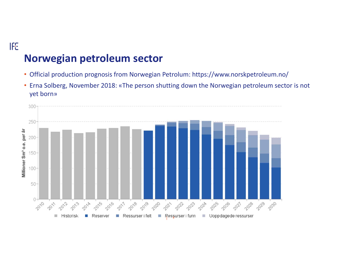## **Norwegian petroleum sector**

- Official production prognosis from Norwegian Petrolum: https://www.norskpetroleum.no/
- Erna Solberg, November 2018: «The person shutting down the Norwegian petroleum sector is not yet born»

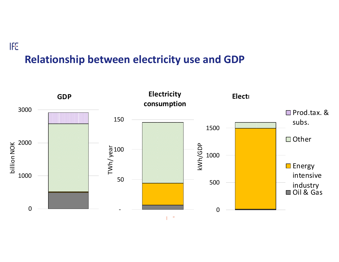# **Relationship between electricity use and GDP**

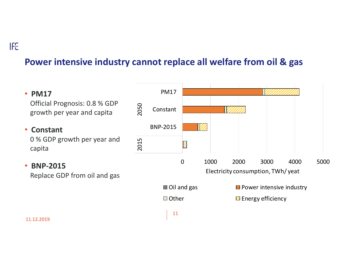### **Power intensive industry cannot replace all welfare from oil & gas**

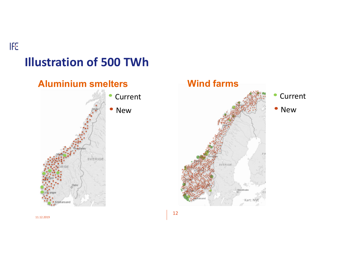# **IFE Illustration of 500 TWh**



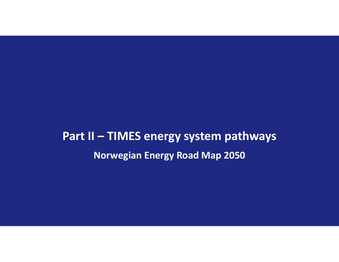# **Part II – TIMES energy system pathways Norwegian Energy Road Map 2050**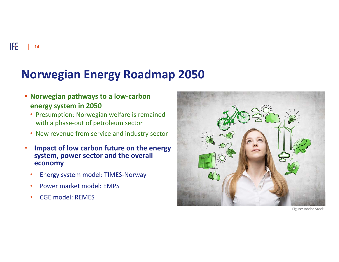IFE  $\vert$  14

# **Norwegian Energy Roadmap 2050**

- **Norwegian pathways to a low‐carbon energy system in 2050**
	- Presumption: Norwegian welfare is remained with a phase‐out of petroleum sector
	- New revenue from service and industry sector
- • **Impact of low carbon future on the energy system, power sector and the overall economy** 
	- •Energy system model: TIMES‐Norway
	- •Power market model: EMPS
	- •CGE model: REMES



Figure: Adobe Stock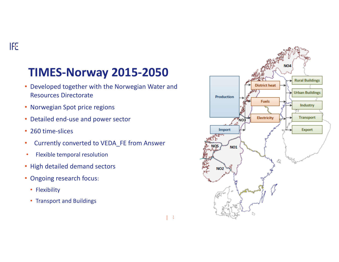# **TIMES‐Norway 2015‐2050**

- Developed together with the Norwegian Water and Resources Directorate
- Norwegian Spot price regions
- Detailed end‐use and power sector
- 260 time-slices
- •Currently converted to VEDA\_FE from Answer

1 5

- •Flexible temporal resolution
- High detailed demand sectors
- Ongoing research focus:
	- Flexibility
	- Transport and Buildings

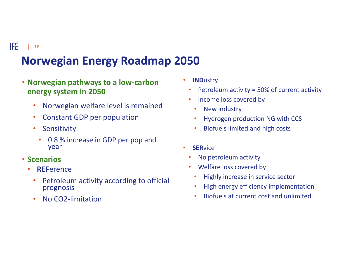#### 16

# **Norwegian Energy Roadmap 2050**

- **Norwegian pathways to a low‐carbon energy system in 2050**
	- •Norwegian welfare level is remained
	- $\bullet$ Constant GDP per population
	- $\bullet$ **Sensitivity** 
		- • 0.8 % increase in GDP per pop and year
- **Scenarios**
	- • **REF**erence
		- • Petroleum activity according to official prognosis
		- •No CO2‐limitation
- $\bullet$  **IND**ustry
	- •Petroleum activity = 50% of current activity
	- • Income loss covered by
		- •New industry
	- •Hydrogen production NG with CCS
	- •Biofuels limited and high costs
- • **SER**vice
	- •No petroleum activity
	- • Welfare loss covered by
		- •Highly increase in service sector
	- •High energy efficiency implementation
	- •Biofuels at current cost and unlimited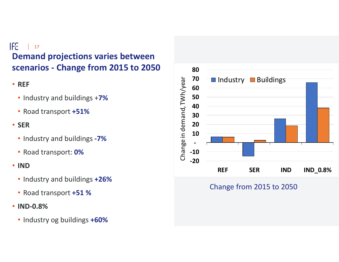#### **IFE** 17 **Demand projections varies between scenarios ‐ Change from 2015 to 2050**

- **REF** 
	- Industry and buildings +**7%**
	- Road transport **+51%**
- **SER**
	- Industry and buildings **‐7%**
	- Road transport: **0%**
- **IND**
	- Industry and buildings **+26%**
	- Road transport **+51 %**
- **IND‐0.8%** 
	- Industry og buildings **+60%**



#### Change from 2015 to 2050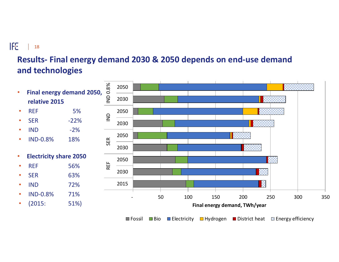### 18

### **Results‐ Final energy demand 2030 & 2050 depends on end‐use demand and technologies**



Fossil ■Bio ■Electricity ■Hydrogen ■District heat ⊠Energy efficiency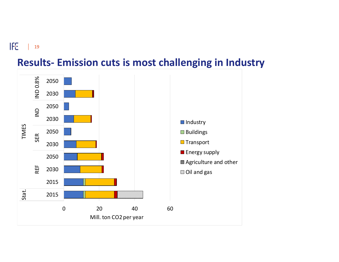**IFE**  $\mathbb{R}$ 19



## **Results‐ Emission cuts is most challenging in Industry**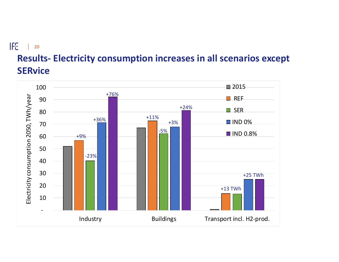#### **IFE**  $\Box$ 20

# **Results‐ Electricity consumption increases in all scenarios except SERvice**

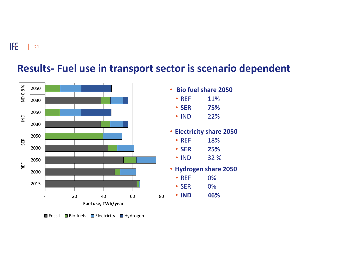

#### **Results‐ Fuel use in transport sector is scenario dependent**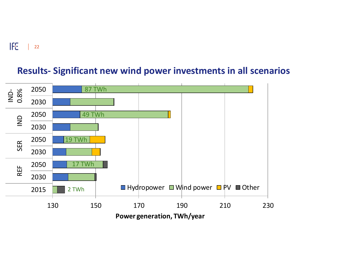#### 22

### **Results‐ Significant new wind power investments in all scenarios**

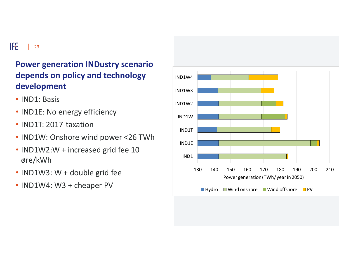#### **IFE**  $\vert$  23

### **Power generation INDustry scenario depends on policy and technology development**

- IND1: Basis
- IND1E: No energy efficiency
- IND1T: 2017‐taxation
- IND1W: Onshore wind power <26 TWh
- IND1W2:W + increased grid fee 10 øre/kWh
- IND1W3: W + double grid fee
- IND1W4: W3 + cheaper PV

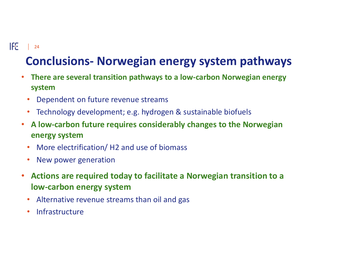#### $\left| \int_{0}^{2}$  | 24

# **Conclusions‐ Norwegian energy system pathways**

- **There are several transition pathways to a low‐carbon Norwegian energy system**
	- •Dependent on future revenue streams
	- $\bullet$ Technology development; e.g. hydrogen & sustainable biofuels
- **A low‐carbon future requires considerably changes to the Norwegian energy system**
	- $\bullet$ More electrification/ H2 and use of biomass
	- •New power generation
- • **Actions are required today to facilitate a Norwegian transition to a low‐carbon energy system**
	- •Alternative revenue streams than oil and gas
	- $\bullet$ Infrastructure